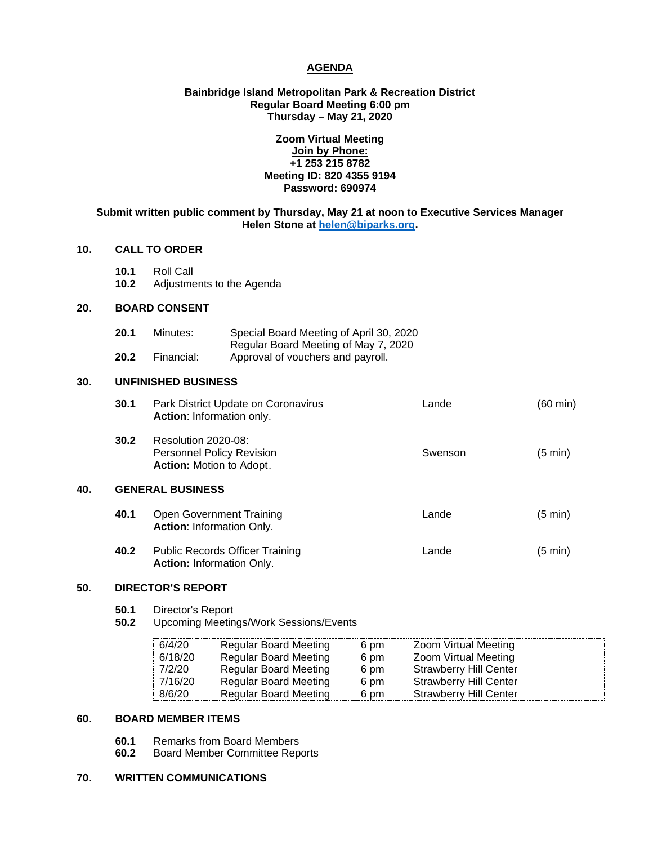# **AGENDA**

# **Bainbridge Island Metropolitan Park & Recreation District Regular Board Meeting 6:00 pm Thursday – May 21, 2020**

# **Zoom Virtual Meeting Join by Phone: +1 253 215 8782 Meeting ID: 820 4355 9194 Password: 690974**

# **Submit written public comment by Thursday, May 21 at noon to Executive Services Manager Helen Stone at [helen@biparks.org.](mailto:helen@biparks.org)**

# **10. CALL TO ORDER**

- **10.1** Roll Call
- **10.2** Adjustments to the Agenda

# **20. BOARD CONSENT**

| 20.1 | Minutes:   | Special Board Meeting of April 30, 2020 |
|------|------------|-----------------------------------------|
|      |            | Regular Board Meeting of May 7, 2020    |
| 20.2 | Financial: | Approval of vouchers and payroll.       |

# **30. UNFINISHED BUSINESS**

| 30.1 | Park District Update on Coronavirus<br>Action: Information only.                           | Lande   | $(60 \text{ min})$ |
|------|--------------------------------------------------------------------------------------------|---------|--------------------|
| 30.2 | Resolution 2020-08:<br><b>Personnel Policy Revision</b><br><b>Action:</b> Motion to Adopt. | Swenson | $(5 \text{ min})$  |

# **40. GENERAL BUSINESS**

| 40.1 | Open Government Training<br><b>Action: Information Only.</b> | Lande | $(5 \text{ min})$ |
|------|--------------------------------------------------------------|-------|-------------------|
| 40.2 | <b>Public Records Officer Training</b>                       | Lande | $(5 \text{ min})$ |

#### **50. DIRECTOR'S REPORT**

- **50.1** Director's Report<br>**50.2** Upcoming Meetin
- **50.2** Upcoming Meetings/Work Sessions/Events

**Action:** Information Only.

| 6/4/20  | <b>Regular Board Meeting</b> | 6 pm | Zoom Virtual Meeting          |  |
|---------|------------------------------|------|-------------------------------|--|
| 6/18/20 | <b>Regular Board Meeting</b> | 6 pm | Zoom Virtual Meeting          |  |
| 7/2/20  | Regular Board Meeting        | 6 pm | <b>Strawberry Hill Center</b> |  |
| 7/16/20 | <b>Regular Board Meeting</b> | 6 pm | <b>Strawberry Hill Center</b> |  |
| 8/6/20  | <b>Regular Board Meeting</b> | 6 pm | <b>Strawberry Hill Center</b> |  |

#### **60. BOARD MEMBER ITEMS**

- **60.1** Remarks from Board Members<br>**60.2** Board Member Committee Rep
- **60.2** Board Member Committee Reports

# **70. WRITTEN COMMUNICATIONS**